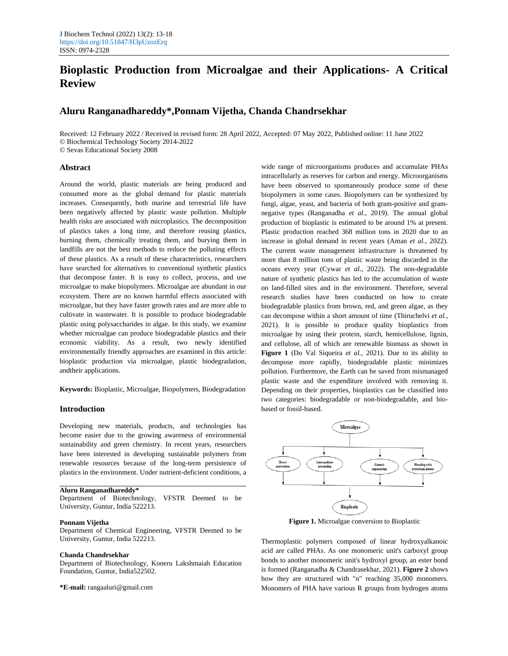# **Bioplastic Production from Microalgae and their Applications- A Critical Review**

# **Aluru Ranganadhareddy\*,Ponnam Vijetha, Chanda Chandrsekhar**

Received: 12 February 2022 / Received in revised form: 28 April 2022, Accepted: 07 May 2022, Published online: 11 June 2022 © Biochemical Technology Society 2014-2022

© Sevas Educational Society 2008

#### **Abstract**

Around the world, plastic materials are being produced and consumed more as the global demand for plastic materials increases. Consequently, both marine and terrestrial life have been negatively affected by plastic waste pollution. Multiple health risks are associated with microplastics. The decomposition of plastics takes a long time, and therefore reusing plastics, burning them, chemically treating them, and burying them in landfills are not the best methods to reduce the polluting effects of these plastics. As a result of these characteristics, researchers have searched for alternatives to conventional synthetic plastics that decompose faster. It is easy to collect, process, and use microalgae to make biopolymers. Microalgae are abundant in our ecosystem. There are no known harmful effects associated with microalgae, but they have faster growth rates and are more able to cultivate in wastewater. It is possible to produce biodegradable plastic using polysaccharides in algae. In this study, we examine whether microalgae can produce biodegradable plastics and their economic viability. As a result, two newly identified environmentally friendly approaches are examined in this article: bioplastic production via microalgae, plastic biodegradation, andtheir applications.

**Keywords:** Bioplastic, Microalgae, Biopolymers, Biodegradation

# **Introduction**

Developing new materials, products, and technologies has become easier due to the growing awareness of environmental sustainability and green chemistry. In recent years, researchers have been interested in developing sustainable polymers from renewable resources because of the long-term persistence of plastics in the environment. Under nutrient-deficient conditions, a

#### **Aluru Ranganadhareddy\***

Department of Biotechnology, VFSTR Deemed to be University, Guntur, India 522213.

#### **Ponnam Vijetha**

Department of Chemical Engineering, VFSTR Deemed to be University, Guntur, India 522213.

#### **Chanda Chandrsekhar**

Department of Biotechnology, Koneru Lakshmaiah Education Foundation, Guntur, India522502.

**\*E-mail:** rangaaluri@gmail.com

wide range of microorganisms produces and accumulate PHAs intracellularly as reserves for carbon and energy. Microorganisms have been observed to spontaneously produce some of these biopolymers in some cases. Biopolymers can be synthesized by fungi, algae, yeast, and bacteria of both gram-positive and gramnegative types (Ranganadha *et al.,* 2019). The annual global production of bioplastic is estimated to be around 1% at present. Plastic production reached 368 million tons in 2020 due to an increase in global demand in recent years (Aman *et al.,* 2022). The current waste management infrastructure is threatened by more than 8 million tons of plastic waste being discarded in the oceans every year (Cywar *et al.,* 2022). The non-degradable nature of synthetic plastics has led to the accumulation of waste on land-filled sites and in the environment. Therefore, several research studies have been conducted on how to create biodegradable plastics from brown, red, and green algae, as they can decompose within a short amount of time (Thiruchelvi *et al.,* 2021). It is possible to produce quality bioplastics from microalgae by using their protein, starch, hemicellulose, lignin, and cellulose, all of which are renewable biomass as shown in **Figure 1** (Do Val Siqueira *et al.,* 2021). Due to its ability to decompose more rapidly, biodegradable plastic minimizes pollution. Furthermore, the Earth can be saved from mismanaged plastic waste and the expenditure involved with removing it. Depending on their properties, bioplastics can be classified into two categories: biodegradable or non-biodegradable, and biobased or fossil-based.



**Figure 1.** Microalgae conversion to Bioplastic

Thermoplastic polymers composed of linear hydroxyalkanoic acid are called PHAs. As one monomeric unit's carboxyl group bonds to another monomeric unit's hydroxyl group, an ester bond is formed (Ranganadha & Chandrasekhar, 2021). **Figure 2** shows how they are structured with "n" reaching 35,000 monomers. Monomers of PHA have various R groups from hydrogen atoms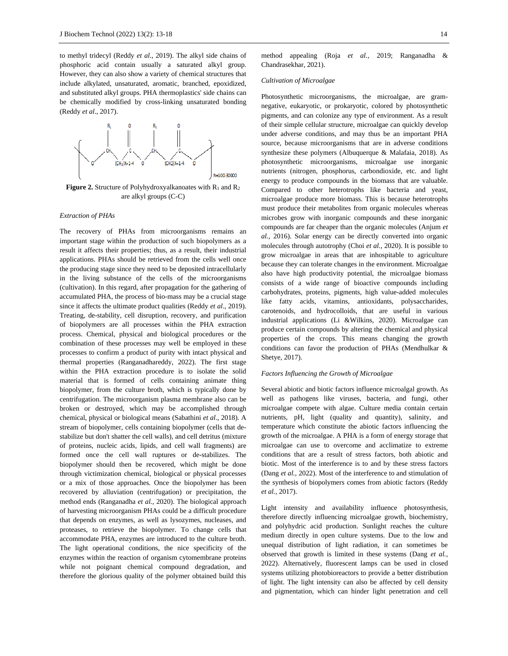to methyl tridecyl (Reddy *et al*., 2019). The alkyl side chains of phosphoric acid contain usually a saturated alkyl group. However, they can also show a variety of chemical structures that include alkylated, unsaturated, aromatic, branched, epoxidized, and substituted alkyl groups. PHA thermoplastics' side chains can be chemically modified by cross-linking unsaturated bonding (Reddy *et al*., 2017).



Figure 2. Structure of Polyhydroxyalkanoates with R<sub>1</sub> and R<sub>2</sub> are alkyl groups (C-C)

#### *Extraction of PHAs*

The recovery of PHAs from microorganisms remains an important stage within the production of such biopolymers as a result it affects their properties; thus, as a result, their industrial applications. PHAs should be retrieved from the cells well once the producing stage since they need to be deposited intracellularly in the living substance of the cells of the microorganisms (cultivation). In this regard, after propagation for the gathering of accumulated PHA, the process of bio-mass may be a crucial stage since it affects the ultimate product qualities (Reddy *et al*., 2019). Treating, de-stability, cell disruption, recovery, and purification of biopolymers are all processes within the PHA extraction process. Chemical, physical and biological procedures or the combination of these processes may well be employed in these processes to confirm a product of purity with intact physical and thermal properties (Ranganadhareddy, 2022). The first stage within the PHA extraction procedure is to isolate the solid material that is formed of cells containing animate thing biopolymer, from the culture broth, which is typically done by centrifugation. The microorganism plasma membrane also can be broken or destroyed, which may be accomplished through chemical, physical or biological means (Sabathini *et al*., 2018). A stream of biopolymer, cells containing biopolymer (cells that destabilize but don't shatter the cell walls), and cell detritus (mixture of proteins, nucleic acids, lipids, and cell wall fragments) are formed once the cell wall ruptures or de-stabilizes. The biopolymer should then be recovered, which might be done through victimization chemical, biological or physical processes or a mix of those approaches. Once the biopolymer has been recovered by alluviation (centrifugation) or precipitation, the method ends (Ranganadha *et al.,* 2020). The biological approach of harvesting microorganism PHAs could be a difficult procedure that depends on enzymes, as well as lysozymes, nucleases, and proteases, to retrieve the biopolymer. To change cells that accommodate PHA, enzymes are introduced to the culture broth. The light operational conditions, the nice specificity of the enzymes within the reaction of organism cytomembrane proteins while not poignant chemical compound degradation, and therefore the glorious quality of the polymer obtained build this

method appealing (Roja *et al.,* 2019; Ranganadha & Chandrasekhar, 2021).

#### *Cultivation of Microalgae*

Photosynthetic microorganisms, the microalgae, are gramnegative, eukaryotic, or prokaryotic, colored by photosynthetic pigments, and can colonize any type of environment. As a result of their simple cellular structure, microalgae can quickly develop under adverse conditions, and may thus be an important PHA source, because microorganisms that are in adverse conditions synthesize these polymers (Albuquerque & Malafaia, 2018). As photosynthetic microorganisms, microalgae use inorganic nutrients (nitrogen, phosphorus, carbondioxide, etc. and light energy to produce compounds in the biomass that are valuable. Compared to other heterotrophs like bacteria and yeast, microalgae produce more biomass. This is because heterotrophs must produce their metabolites from organic molecules whereas microbes grow with inorganic compounds and these inorganic compounds are far cheaper than the organic molecules (Anjum *et al.,* 2016). Solar energy can be directly converted into organic molecules through autotrophy (Choi *et al.,* 2020). It is possible to grow microalgae in areas that are inhospitable to agriculture because they can tolerate changes in the environment. Microalgae also have high productivity potential, the microalgae biomass consists of a wide range of bioactive compounds including carbohydrates, proteins, pigments, high value-added molecules like fatty acids, vitamins, antioxidants, polysaccharides, carotenoids, and hydrocolloids, that are useful in various industrial applications (Li &Wilkins, 2020). Microalgae can produce certain compounds by altering the chemical and physical properties of the crops. This means changing the growth conditions can favor the production of PHAs (Mendhulkar & Shetye, 2017).

#### *Factors Influencing the Growth of Microalgae*

Several abiotic and biotic factors influence microalgal growth. As well as pathogens like viruses, bacteria, and fungi, other microalgae compete with algae. Culture media contain certain nutrients, pH, light (quality and quantity), salinity, and temperature which constitute the abiotic factors influencing the growth of the microalgae. A PHA is a form of energy storage that microalgae can use to overcome and acclimatize to extreme conditions that are a result of stress factors, both abiotic and biotic. Most of the interference is to and by these stress factors (Dang *et al.,* 2022). Most of the interference to and stimulation of the synthesis of biopolymers comes from abiotic factors (Reddy *et al.,* 2017).

Light intensity and availability influence photosynthesis, therefore directly influencing microalgae growth, biochemistry, and polyhydric acid production. Sunlight reaches the culture medium directly in open culture systems. Due to the low and unequal distribution of light radiation, it can sometimes be observed that growth is limited in these systems (Dang *et al.,* 2022). Alternatively, fluorescent lamps can be used in closed systems utilizing photobioreactors to provide a better distribution of light. The light intensity can also be affected by cell density and pigmentation, which can hinder light penetration and cell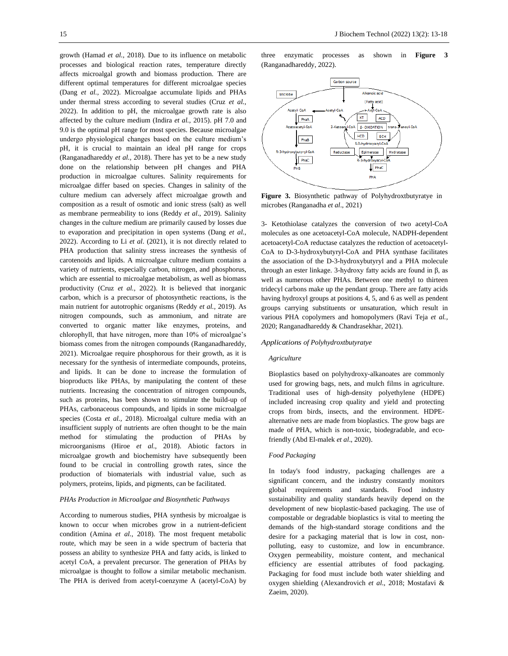growth (Hamad *et al.,* 2018). Due to its influence on metabolic processes and biological reaction rates, temperature directly affects microalgal growth and biomass production. There are different optimal temperatures for different microalgae species (Dang *et al.,* 2022). Microalgae accumulate lipids and PHAs under thermal stress according to several studies (Cruz *et al.,* 2022). In addition to pH, the microalgae growth rate is also affected by the culture medium (Indira *et al.,* 2015). pH 7.0 and 9.0 is the optimal pH range for most species. Because microalgae undergo physiological changes based on the culture medium's pH, it is crucial to maintain an ideal pH range for crops (Ranganadhareddy *et al.,* 2018). There has yet to be a new study done on the relationship between pH changes and PHA production in microalgae cultures. Salinity requirements for microalgae differ based on species. Changes in salinity of the culture medium can adversely affect microalgae growth and composition as a result of osmotic and ionic stress (salt) as well as membrane permeability to ions (Reddy *et al*., 2019). Salinity changes in the culture medium are primarily caused by losses due to evaporation and precipitation in open systems (Dang *et al.,* 2022). According to Li *et al*. (2021), it is not directly related to PHA production that salinity stress increases the synthesis of carotenoids and lipids. A microalgae culture medium contains a variety of nutrients, especially carbon, nitrogen, and phosphorus, which are essential to microalgae metabolism, as well as biomass productivity (Cruz *et al.,* 2022). It is believed that inorganic carbon, which is a precursor of photosynthetic reactions, is the main nutrient for autotrophic organisms (Reddy *et al.,* 2019). As nitrogen compounds, such as ammonium, and nitrate are converted to organic matter like enzymes, proteins, and chlorophyll, that have nitrogen, more than 10% of microalgae's biomass comes from the nitrogen compounds (Ranganadhareddy, 2021). Microalgae require phosphorous for their growth, as it is necessary for the synthesis of intermediate compounds, proteins, and lipids. It can be done to increase the formulation of bioproducts like PHAs, by manipulating the content of these nutrients. Increasing the concentration of nitrogen compounds, such as proteins, has been shown to stimulate the build-up of PHAs, carbonaceous compounds, and lipids in some microalgae species (Costa *et al.,* 2018). Microalgal culture media with an insufficient supply of nutrients are often thought to be the main method for stimulating the production of PHAs by microorganisms (Hiroe *et al.,* 2018). Abiotic factors in microalgae growth and biochemistry have subsequently been found to be crucial in controlling growth rates, since the production of biomaterials with industrial value, such as polymers, proteins, lipids, and pigments, can be facilitated.

#### *PHAs Production in Microalgae and Biosynthetic Pathways*

According to numerous studies, PHA synthesis by microalgae is known to occur when microbes grow in a nutrient-deficient condition (Amina *et al.,* 2018). The most frequent metabolic route, which may be seen in a wide spectrum of bacteria that possess an ability to synthesize PHA and fatty acids, is linked to acetyl CoA, a prevalent precursor. The generation of PHAs by microalgae is thought to follow a similar metabolic mechanism. The PHA is derived from acetyl-coenzyme A (acetyl-CoA) by three enzymatic processes as shown in **Figure 3** (Ranganadhareddy, 2022).



**Figure 3.** Biosynthetic pathway of Polyhydroxtbutyratye in microbes (Ranganadha *et al*., 2021)

3- Ketothiolase catalyzes the conversion of two acetyl-CoA molecules as one acetoacetyl-CoA molecule, NADPH-dependent acetoacetyl-CoA reductase catalyzes the reduction of acetoacetyl-CoA to D-3-hydroxybutyryl-CoA and PHA synthase facilitates the association of the D-3-hydroxybutyryl and a PHA molecule through an ester linkage. 3-hydroxy fatty acids are found in β, as well as numerous other PHAs. Between one methyl to thirteen tridecyl carbons make up the pendant group. There are fatty acids having hydroxyl groups at positions 4, 5, and 6 as well as pendent groups carrying substituents or unsaturation, which result in various PHA copolymers and homopolymers (Ravi Teja *et al.,* 2020; Ranganadhareddy & Chandrasekhar, 2021).

#### *Applications of Polyhydroxtbutyratye*

## *Agriculture*

Bioplastics based on polyhydroxy-alkanoates are commonly used for growing bags, nets, and mulch films in agriculture. Traditional uses of high-density polyethylene (HDPE) included increasing crop quality and yield and protecting crops from birds, insects, and the environment. HDPEalternative nets are made from bioplastics. The grow bags are made of PHA, which is non-toxic, biodegradable, and ecofriendly (Abd El-malek *et al*., 2020).

#### *Food Packaging*

In today's food industry, packaging challenges are a significant concern, and the industry constantly monitors global requirements and standards. Food industry sustainability and quality standards heavily depend on the development of new bioplastic-based packaging. The use of compostable or degradable bioplastics is vital to meeting the demands of the high-standard storage conditions and the desire for a packaging material that is low in cost, nonpolluting, easy to customize, and low in encumbrance. Oxygen permeability, moisture content, and mechanical efficiency are essential attributes of food packaging. Packaging for food must include both water shielding and oxygen shielding (Alexandrovich *et al*., 2018; Mostafavi & Zaeim, 2020).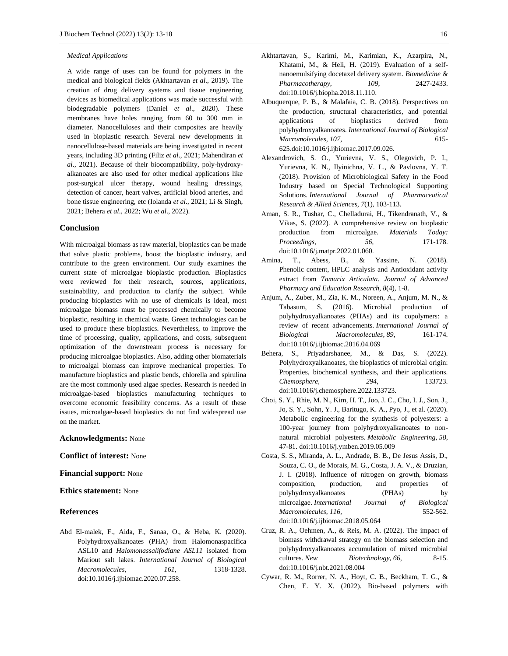#### *Medical Applications*

A wide range of uses can be found for polymers in the medical and biological fields (Akhtartavan *et al*., 2019). The creation of drug delivery systems and tissue engineering devices as biomedical applications was made successful with biodegradable polymers (Daniel *et al*., 2020). These membranes have holes ranging from 60 to 300 mm in diameter. Nanocelluloses and their composites are heavily used in bioplastic research. Several new developments in nanocellulose-based materials are being investigated in recent years, including 3D printing (Filiz *et al*., 2021; Mahendiran *et al*., 2021). Because of their biocompatibility, poly-hydroxyalkanoates are also used for other medical applications like post-surgical ulcer therapy, wound healing dressings, detection of cancer, heart valves, artificial blood arteries, and bone tissue engineering, etc (Iolanda *et al*., 2021; Li & Singh, 2021; Behera *et al*., 2022; Wu *et al*., 2022).

# **Conclusion**

With microalgal biomass as raw material, bioplastics can be made that solve plastic problems, boost the bioplastic industry, and contribute to the green environment. Our study examines the current state of microalgae bioplastic production. Bioplastics were reviewed for their research, sources, applications, sustainability, and production to clarify the subject. While producing bioplastics with no use of chemicals is ideal, most microalgae biomass must be processed chemically to become bioplastic, resulting in chemical waste. Green technologies can be used to produce these bioplastics. Nevertheless, to improve the time of processing, quality, applications, and costs, subsequent optimization of the downstream process is necessary for producing microalgae bioplastics. Also, adding other biomaterials to microalgal biomass can improve mechanical properties. To manufacture bioplastics and plastic bends, chlorella and spirulina are the most commonly used algae species. Research is needed in microalgae-based bioplastics manufacturing techniques to overcome economic feasibility concerns. As a result of these issues, microalgae-based bioplastics do not find widespread use on the market.

#### **Acknowledgments:** None

# **Conflict of interest:** None

#### **Financial support:** None

# **Ethics statement:** None

# **References**

Abd El-malek, F., Aida, F., Sanaa, O., & Heba, K. (2020). Polyhydroxyalkanoates (PHA) from Halomonaspacifica ASL10 and *Halomonassalifodiane ASL11* isolated from Mariout salt lakes. *International Journal of Biological Macromolecules*, *161*, 1318-1328. doi:10.1016/j.ijbiomac.2020.07.258.

- Akhtartavan, S., Karimi, M., Karimian, K., Azarpira, N., Khatami, M., & Heli, H. (2019). Evaluation of a selfnanoemulsifying docetaxel delivery system. *Biomedicine & Pharmacotherapy*, *109*, 2427-2433. [doi:10.1016/j.biopha.2018.11.110.](https://doi.org/10.1016/j.biopha.2018.11.110)
- Albuquerque, P. B., & Malafaia, C. B. (2018). Perspectives on the production, structural characteristics, and potential applications of bioplastics derived from polyhydroxyalkanoates. *International Journal of Biological Macromolecules, 107*, 615- 62[5.doi:10.1016/j.ijbiomac.2017.09.026.](https://doi:10.1016/j.ijbiomac.2017.09.026)
- Alexandrovich, S. O., Yurievna, V. S., Olegovich, P. I., Yurievna, K. N., Ilyinichna, V. L., & Pavlovna, Y. T. (2018). Provision of Microbiological Safety in the Food Industry based on Special Technological Supporting Solutions. *International Journal of Pharmaceutical Research & Allied Sciences*, *7*(1), 103-113.
- Aman, S. R., Tushar, C., Chelladurai, H., Tikendranath, V., & Vikas, S. (2022). A comprehensive review on bioplastic production from microalgae. *Materials Today: Proceedings*, *56*, 171-178. doi:10.1016/j.matpr.2022.01.060.
- Amina, T., Abess, B., & Yassine, N. (2018). Phenolic content, HPLC analysis and Antioxidant activity extract from *Tamarix Articulata*. *Journal of Advanced Pharmacy and Education Research*, *8*(4), 1-8.
- Anjum, A., Zuber, M., Zia, K. M., Noreen, A., Anjum, M. N., & Tabasum, S. (2016). Microbial production of polyhydroxyalkanoates (PHAs) and its copolymers: a review of recent advancements. *International Journal of Biological Macromolecules*, *89*, 161-174. doi:10.1016/j.ijbiomac.2016.04.069
- Behera, S., Priyadarshanee, M., & Das, S. (2022). Polyhydroxyalkanoates, the bioplastics of microbial origin: Properties, biochemical synthesis, and their applications. *Chemosphere, 294*, 133723. [doi:10.1016/j.chemosphere.2022.133723.](https://doi.org/10.1016/j.chemosphere.2022.133723)
- Choi, S. Y., Rhie, M. N., Kim, H. T., Joo, J. C., Cho, I. J., Son, J., Jo, S. Y., Sohn, Y. J., Baritugo, K. A., Pyo, J., et al. (2020). Metabolic engineering for the synthesis of polyesters: a 100-year journey from polyhydroxyalkanoates to nonnatural microbial polyesters. *Metabolic Engineering, 58*, 47-81[. doi:10.1016/j.ymben.2019.05.009](https://doi:10.1016/j.ymben.2019.05.009)
- Costa, S. S., Miranda, A. L., Andrade, B. B., De Jesus Assis, D., Souza, C. O., de Morais, M. G., Costa, J. A. V., & Druzian, J. I. (2018). Influence of nitrogen on growth, biomass composition, production, and properties of polyhydroxyalkanoates (PHAs) by microalgae. *International Journal of Biological Macromolecules*, *116*, 552-562. doi:10.1016/j.ijbiomac.2018.05.064
- Cruz, R. A., Oehmen, A., & Reis, M. A. (2022). The impact of biomass withdrawal strategy on the biomass selection and polyhydroxyalkanoates accumulation of mixed microbial cultures. *New Biotechnology, 66*, 8-15. [doi:10.1016/j.nbt.2021.08.004](https://doi:10.1016/j.nbt.2021.08.004)
- Cywar, R. M., Rorrer, N. A., Hoyt, C. B.*,* Beckham, T. G., & Chen, E. Y. X*.* (2022). Bio-based polymers with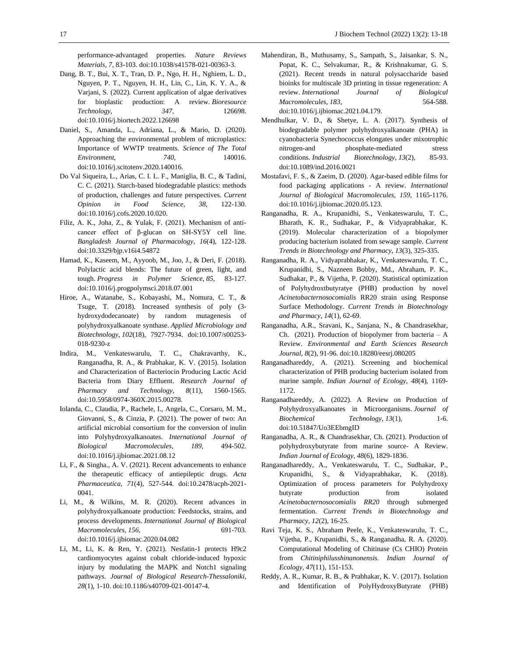performance-advantaged properties. *Nature Reviews Materials, 7,* 83-103[. doi:10.1038/s41578-021-00363-3.](https://doi.org/10.1038/s41578-021-00363-3)

- Dang, B. T., Bui, X. T., Tran, D. P., Ngo, H. H., Nghiem, L. D., Nguyen, P. T., Nguyen, H. H., Lin, C., Lin, K. Y. A., & Varjani, S. (2022). Current application of algae derivatives for bioplastic production: A review. *Bioresource Technology*, *347*, 126698. [doi:10.1016/j.biortech.2022.126698](https://doi:10.1016/j.biortech.2022.126698)
- Daniel, S., Amanda, L., Adriana, L., & Mario, D. (2020). Approaching the environmental problem of microplastics: Importance of WWTP treatments. *Science of The Total Environment*, *740*, 140016. [doi:10.1016/j.scitotenv.2020.140016.](https://doi.org/10.1016/j.scitotenv.2020.140016)
- Do Val Siqueira, L., Arias, C. I. L. F., Maniglia, B. C., & Tadini, C. C. (2021). Starch-based biodegradable plastics: methods of production, challenges and future perspectives. *Current Opinion in Food Science*, *38*, 122-130. [doi:10.1016/j.cofs.2020.10.020.](https://doi.org/10.1016/j.cofs.2020.10.020)
- Filiz, A. K., Joha, Z., & Yulak, F. (2021). Mechanism of anticancer effect of β-glucan on SH-SY5Y cell line. *Bangladesh Journal of Pharmacology*, *16*(4), 122-128. [doi:10.3329/bjp.v16i4.54872](https://doi:10.3329/bjp.v16i4.54872)
- Hamad, K., Kaseem, M., Ayyoob, M., Joo, J., & Deri, F. (2018). Polylactic acid blends: The future of green, light, and tough. *Progress in Polymer Science*, *85*, 83-127. [doi:10.1016/j.progpolymsci.2018.07.001](https://doi:10.1016/j.progpolymsci.2018.07.001)
- Hiroe, A., Watanabe, S., Kobayashi, M., Nomura, C. T., & Tsuge, T. (2018). Increased synthesis of poly (3 hydroxydodecanoate) by random mutagenesis of polyhydroxyalkanoate synthase. *Applied Microbiology and Biotechnology*, *102*(18), 7927-7934. [doi:10.1007/s00253-](https://doi:10.1007/s00253-018-9230-z) [018-9230-z](https://doi:10.1007/s00253-018-9230-z)
- Indira, M., Venkateswarulu, T. C., Chakravarthy, K., Ranganadha, R. A., & Prabhakar, K. V. (2015). Isolation and Characterization of Bacteriocin Producing Lactic Acid Bacteria from Diary Effluent. *Research Journal of Pharmacy and Technology*, *8*(11), 1560-1565. [doi:10.5958/0974-360X.2015.00278.](https://doi.org/10.5958/0974-360X.2015.00278)
- Iolanda, C., Claudia, P., Rachele, I., Angela, C., Corsaro, M. M., Giovanni, S., & Cinzia, P. (2021). The power of two: An artificial microbial consortium for the conversion of inulin into Polyhydroxyalkanoates. *International Journal of Biological Macromolecules*, *189*, 494-502. [doi:10.1016/j.ijbiomac.2021.08.12](https://doi.org/10.1016/j.ijbiomac.2021.08.12)
- Li, F., & Singha., A. V. (2021). Recent advancements to enhance the therapeutic efficacy of antiepileptic drugs. *Acta Pharmaceutica*, *71*(4), 527-544. [doi:10.2478/acph-2021-](https://doi.org/10.2478/acph-2021-0041) [0041.](https://doi.org/10.2478/acph-2021-0041)
- Li, M., & Wilkins, M. R. (2020). Recent advances in polyhydroxyalkanoate production: Feedstocks, strains, and process developments. *International Journal of Biological Macromolecules, 156*, 691-703. [doi:10.1016/j.ijbiomac.2020.04.082](https://doi:10.1016/j.ijbiomac.2020.04.082)
- Li, M., Li, K. & Ren, Y. (2021). Nesfatin-1 protects H9c2 cardiomyocytes against cobalt chloride-induced hypoxic injury by modulating the MAPK and Notch1 signaling pathways. *Journal of Biological Research-Thessaloniki, 28*(1), 1-10[. doi:10.1186/s40709-021-00147-4.](https://doi:10.1186/s40709-021-00147-4)
- Mahendiran, B., Muthusamy, S., Sampath, S., Jaisankar, S. N., Popat, K. C., Selvakumar, R., & Krishnakumar, G. S. (2021). Recent trends in natural polysaccharide based bioinks for multiscale 3D printing in tissue regeneration: A review. *International Journal of Biological Macromolecules*, *183*, 564-588. [doi:10.1016/j.ijbiomac.2021.04.179.](https://doi.org/10.1016/j.ijbiomac.2021.04.179)
- Mendhulkar, V. D., & Shetye, L. A. (2017). Synthesis of biodegradable polymer polyhydroxyalkanoate (PHA) in cyanobacteria Synechococcus elongates under mixotrophic nitrogen-and phosphate-mediated stress conditions. *Industrial Biotechnology, 13*(2), 85-93. [doi:10.1089/ind.2016.0021](https://doi:10.1089/ind.2016.0021)
- Mostafavi, F. S., & Zaeim, D. (2020). Agar-based edible films for food packaging applications - A review. *International Journal of Biological Macromolecules, 159*, 1165-1176. [doi:10.1016/j.ijbiomac.2020.05.123.](https://doi.org/10.1016/j.ijbiomac.2020.05.123)
- Ranganadha, R. A., Krupanidhi, S., Venkateswarulu, T. C., Bharath, K. R., Sudhakar, P., & Vidyaprabhakar, K. (2019). Molecular characterization of a biopolymer producing bacterium isolated from sewage sample. *Current Trends in Biotechnology and Pharmacy, 13*(3), 325-335.
- Ranganadha, R. A., Vidyaprabhakar, K., Venkateswarulu, T. C., Krupanidhi, S., Nazneen Bobby, Md., Abraham, P. K., Sudhakar, P., & Vijetha, P. (2020). Statistical optimization of Polyhydroxtbutyratye (PHB) production by novel *Acinetobacternosocomialis* RR20 strain using Response Surface Methodology. *Current Trends in Biotechnology and Pharmacy*, *14*(1), 62-69.
- Ranganadha, A.R., Sravani, K., Sanjana, N., & Chandrasekhar, Ch. (2021). Production of biopolymer from bacteria  $- A$ Review. *Environmental and Earth Sciences Research Journal, 8*(2), 91-96. [doi:10.18280/eesrj.080205](https://doi.org/10.1016/j.ijbiomac.2021.08.12)
- Ranganadhareddy, A. (2021). Screening and biochemical characterization of PHB producing bacterium isolated from marine sample. *Indian Journal of Ecology, 48*(4), 1169- 1172.
- Ranganadhareddy, A. (2022). A Review on Production of Polyhydroxyalkanoates in Microorganisms. *Journal of Biochemical Technology*, *13*(1), 1-6. [doi:10.51847/Uo3EEbmgID](https://doi:10.51847/Uo3EEbmgID)
- Ranganadha, A. R., & Chandrasekhar, Ch. (2021). Production of polyhydroxybutyrate from marine source- A Review. *Indian Journal of Ecology, 48*(6), 1829-1836.
- Ranganadhareddy, A., Venkateswarulu, T. C., Sudhakar, P., Krupanidhi, S., & Vidyaprabhakar, K. (2018). Optimization of process parameters for Polyhydroxy butyrate production from isolated *Acinetobacternosocomialis RR20* through submerged fermentation. *Current Trends in Biotechnology and Pharmacy, 12*(2), 16-25.
- Ravi Teja, K. S., Abraham Peele, K., Venkateswarulu, T. C., Vijetha, P., Krupanidhi, S., & Ranganadha, R. A. (2020). Computational Modeling of Chitinase (Cs CHIO) Protein from *Chitiniphilusshinanonensis*. *Indian Journal of Ecology, 47*(11), 151-153.
- Reddy, A. R., Kumar, R. B., & Prabhakar, K. V. (2017). Isolation and Identification of PolyHydroxyButyrate (PHB)